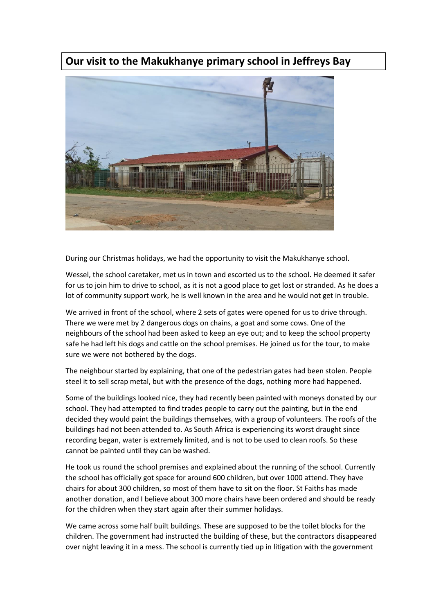## **Our visit to the Makukhanye primary school in Jeffreys Bay**



During our Christmas holidays, we had the opportunity to visit the Makukhanye school.

Wessel, the school caretaker, met us in town and escorted us to the school. He deemed it safer for us to join him to drive to school, as it is not a good place to get lost or stranded. As he does a lot of community support work, he is well known in the area and he would not get in trouble.

We arrived in front of the school, where 2 sets of gates were opened for us to drive through. There we were met by 2 dangerous dogs on chains, a goat and some cows. One of the neighbours of the school had been asked to keep an eye out; and to keep the school property safe he had left his dogs and cattle on the school premises. He joined us for the tour, to make sure we were not bothered by the dogs.

The neighbour started by explaining, that one of the pedestrian gates had been stolen. People steel it to sell scrap metal, but with the presence of the dogs, nothing more had happened.

Some of the buildings looked nice, they had recently been painted with moneys donated by our school. They had attempted to find trades people to carry out the painting, but in the end decided they would paint the buildings themselves, with a group of volunteers. The roofs of the buildings had not been attended to. As South Africa is experiencing its worst draught since recording began, water is extremely limited, and is not to be used to clean roofs. So these cannot be painted until they can be washed.

He took us round the school premises and explained about the running of the school. Currently the school has officially got space for around 600 children, but over 1000 attend. They have chairs for about 300 children, so most of them have to sit on the floor. St Faiths has made another donation, and I believe about 300 more chairs have been ordered and should be ready for the children when they start again after their summer holidays.

We came across some half built buildings. These are supposed to be the toilet blocks for the children. The government had instructed the building of these, but the contractors disappeared over night leaving it in a mess. The school is currently tied up in litigation with the government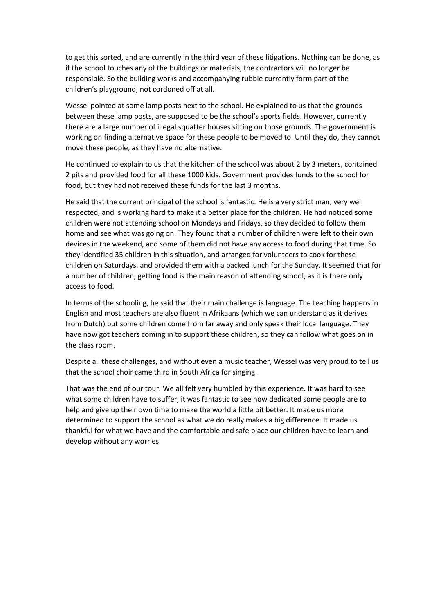to get this sorted, and are currently in the third year of these litigations. Nothing can be done, as if the school touches any of the buildings or materials, the contractors will no longer be responsible. So the building works and accompanying rubble currently form part of the children's playground, not cordoned off at all.

Wessel pointed at some lamp posts next to the school. He explained to us that the grounds between these lamp posts, are supposed to be the school's sports fields. However, currently there are a large number of illegal squatter houses sitting on those grounds. The government is working on finding alternative space for these people to be moved to. Until they do, they cannot move these people, as they have no alternative.

He continued to explain to us that the kitchen of the school was about 2 by 3 meters, contained 2 pits and provided food for all these 1000 kids. Government provides funds to the school for food, but they had not received these funds for the last 3 months.

He said that the current principal of the school is fantastic. He is a very strict man, very well respected, and is working hard to make it a better place for the children. He had noticed some children were not attending school on Mondays and Fridays, so they decided to follow them home and see what was going on. They found that a number of children were left to their own devices in the weekend, and some of them did not have any access to food during that time. So they identified 35 children in this situation, and arranged for volunteers to cook for these children on Saturdays, and provided them with a packed lunch for the Sunday. It seemed that for a number of children, getting food is the main reason of attending school, as it is there only access to food.

In terms of the schooling, he said that their main challenge is language. The teaching happens in English and most teachers are also fluent in Afrikaans (which we can understand as it derives from Dutch) but some children come from far away and only speak their local language. They have now got teachers coming in to support these children, so they can follow what goes on in the class room.

Despite all these challenges, and without even a music teacher, Wessel was very proud to tell us that the school choir came third in South Africa for singing.

That was the end of our tour. We all felt very humbled by this experience. It was hard to see what some children have to suffer, it was fantastic to see how dedicated some people are to help and give up their own time to make the world a little bit better. It made us more determined to support the school as what we do really makes a big difference. It made us thankful for what we have and the comfortable and safe place our children have to learn and develop without any worries.